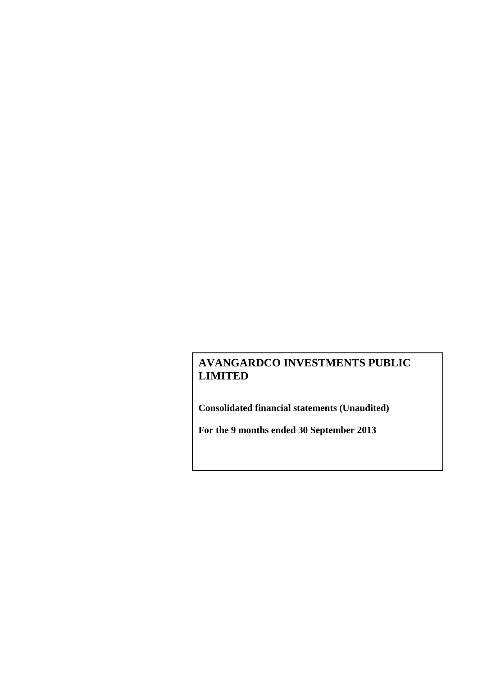**Consolidated financial statements (Unaudited)**

**For the 9 months ended 30 September 2013**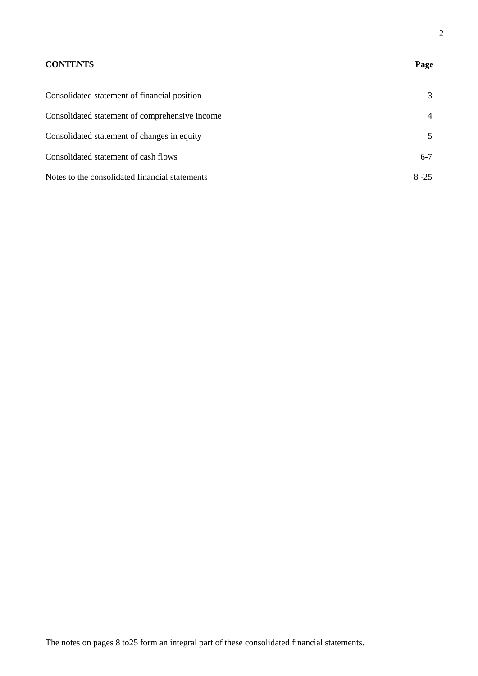## **CONTENTS Page**

| Consolidated statement of financial position   |          |
|------------------------------------------------|----------|
| Consolidated statement of comprehensive income |          |
| Consolidated statement of changes in equity    |          |
| Consolidated statement of cash flows           | $6-7$    |
| Notes to the consolidated financial statements | $8 - 25$ |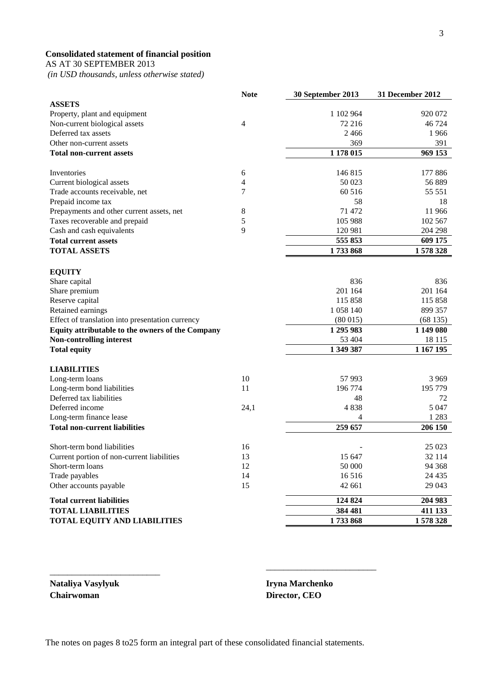## **Consolidated statement of financial position**

AS AT 30 SEPTEMBER 2013

*(in USD thousands, unless otherwise stated)*

|                                                  | <b>Note</b> | 30 September 2013 | 31 December 2012 |
|--------------------------------------------------|-------------|-------------------|------------------|
| <b>ASSETS</b>                                    |             |                   |                  |
| Property, plant and equipment                    |             | 1 102 964         | 920 072          |
| Non-current biological assets                    | 4           | 72 216            | 46 724           |
| Deferred tax assets                              |             | 2466              | 1966             |
| Other non-current assets                         |             | 369               | 391              |
| <b>Total non-current assets</b>                  |             | 1 178 015         | 969 153          |
|                                                  |             |                   |                  |
| Inventories                                      | $\sqrt{6}$  | 146815            | 177 886          |
| Current biological assets                        | 4           | 50 023            | 56 889           |
| Trade accounts receivable, net                   | 7           | 60 516            | 55 551           |
| Prepaid income tax                               |             | 58                | 18               |
| Prepayments and other current assets, net        | 8           | 71 472            | 11 966           |
| Taxes recoverable and prepaid                    | 5           | 105 988           | 102 567          |
| Cash and cash equivalents                        | 9           | 120 981           | 204 298          |
| <b>Total current assets</b>                      |             | 555 853           | 609 175          |
| <b>TOTAL ASSETS</b>                              |             | 1733868           | 1578328          |
|                                                  |             |                   |                  |
| <b>EQUITY</b>                                    |             |                   |                  |
| Share capital                                    |             | 836               | 836              |
| Share premium                                    |             | 201 164           | 201 164          |
| Reserve capital                                  |             | 115 858           | 115 858          |
| Retained earnings                                |             | 1 058 140         | 899 357          |
| Effect of translation into presentation currency |             | (80015)           | (68135)          |
| Equity attributable to the owners of the Company |             | 1 295 983         | 1 149 080        |
| Non-controlling interest                         |             | 53 404            | 18 115           |
| <b>Total equity</b>                              |             | 1 349 387         | 1 167 195        |
|                                                  |             |                   |                  |
| <b>LIABILITIES</b>                               |             |                   |                  |
| Long-term loans                                  | 10          | 57 993            | 3 9 6 9          |
| Long-term bond liabilities                       | 11          | 196 774           | 195 779          |
| Deferred tax liabilities                         |             | 48                | 72               |
| Deferred income                                  | 24,1        | 4838              | 5 0 4 7          |
| Long-term finance lease                          |             | 4                 | 1 2 8 3          |
| <b>Total non-current liabilities</b>             |             | 259 657           | 206 150          |
|                                                  |             |                   |                  |
| Short-term bond liabilities                      | 16          |                   | 25 023           |
| Current portion of non-current liabilities       | 13          | 15 647            | 32 114           |
| Short-term loans                                 | 12          | 50 000            | 94 368           |
| Trade payables                                   | 14          | 16516             | 24 4 35          |
| Other accounts payable                           | 15          | 42 661            | 29 043           |
| <b>Total current liabilities</b>                 |             | 124 824           | 204 983          |
| <b>TOTAL LIABILITIES</b>                         |             | 384 481           | 411 133          |
| <b>TOTAL EQUITY AND LIABILITIES</b>              |             | 1733868           | 1578328          |
|                                                  |             |                   |                  |

**Chairwoman Director, CEO**

\_\_\_\_\_\_\_\_\_\_\_\_\_\_\_\_\_\_\_\_\_\_\_\_\_

**Nataliya Vasylyuk Iryna Marchenko**

\_\_\_\_\_\_\_\_\_\_\_\_\_\_\_\_\_\_\_\_\_\_\_\_\_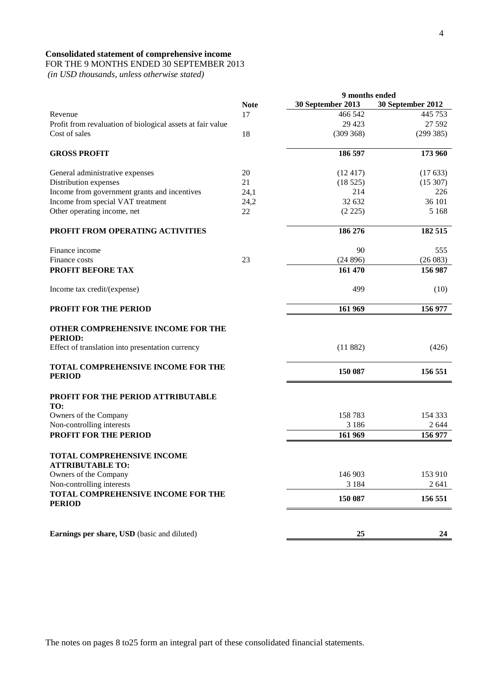## **Consolidated statement of comprehensive income**

## FOR THE 9 MONTHS ENDED 30 SEPTEMBER 2013

*(in USD thousands, unless otherwise stated)*

|                                                                                                          |             | 9 months ended    |                   |
|----------------------------------------------------------------------------------------------------------|-------------|-------------------|-------------------|
|                                                                                                          | <b>Note</b> | 30 September 2013 | 30 September 2012 |
| Revenue                                                                                                  | 17          | 466 542           | 445 753           |
| Profit from revaluation of biological assets at fair value                                               |             | 29 4 23           | 27 592            |
| Cost of sales                                                                                            | 18          | (309368)          | (299 385)         |
|                                                                                                          |             |                   |                   |
| <b>GROSS PROFIT</b>                                                                                      |             | 186 597           | 173 960           |
| General administrative expenses                                                                          | 20          | (12417)           | (17633)           |
| Distribution expenses                                                                                    | 21          | (18525)           | (15307)           |
| Income from government grants and incentives                                                             | 24,1        | 214               | 226               |
| Income from special VAT treatment                                                                        | 24,2        | 32 632            | 36 101            |
| Other operating income, net                                                                              | 22          | (2 225)           | 5 1 6 8           |
|                                                                                                          |             |                   |                   |
| PROFIT FROM OPERATING ACTIVITIES                                                                         |             | 186 276           | 182 515           |
| Finance income                                                                                           |             | 90                | 555               |
| Finance costs                                                                                            | 23          | (24896)           | (26083)           |
| PROFIT BEFORE TAX                                                                                        |             | 161 470           | 156 987           |
|                                                                                                          |             |                   |                   |
| Income tax credit/(expense)                                                                              |             | 499               | (10)              |
| PROFIT FOR THE PERIOD                                                                                    |             | 161 969           | 156 977           |
| OTHER COMPREHENSIVE INCOME FOR THE<br><b>PERIOD:</b><br>Effect of translation into presentation currency |             | (11882)           | (426)             |
| TOTAL COMPREHENSIVE INCOME FOR THE<br><b>PERIOD</b>                                                      |             | 150 087           | 156 551           |
| PROFIT FOR THE PERIOD ATTRIBUTABLE                                                                       |             |                   |                   |
| TO:<br>Owners of the Company                                                                             |             | 158783            | 154 333           |
| Non-controlling interests                                                                                |             | 3 1 8 6           | 2 6 4 4           |
| <b>PROFIT FOR THE PERIOD</b>                                                                             |             |                   |                   |
|                                                                                                          |             | 161 969           | 156 977           |
| TOTAL COMPREHENSIVE INCOME<br><b>ATTRIBUTABLE TO:</b>                                                    |             |                   |                   |
| Owners of the Company                                                                                    |             | 146 903           | 153 910           |
| Non-controlling interests                                                                                |             | 3 1 8 4           | 2 641             |
| TOTAL COMPREHENSIVE INCOME FOR THE<br><b>PERIOD</b>                                                      |             | 150 087           | 156 551           |
|                                                                                                          |             |                   |                   |
| Earnings per share, USD (basic and diluted)                                                              |             | 25                | 24                |

The notes on pages 8 to25 form an integral part of these consolidated financial statements.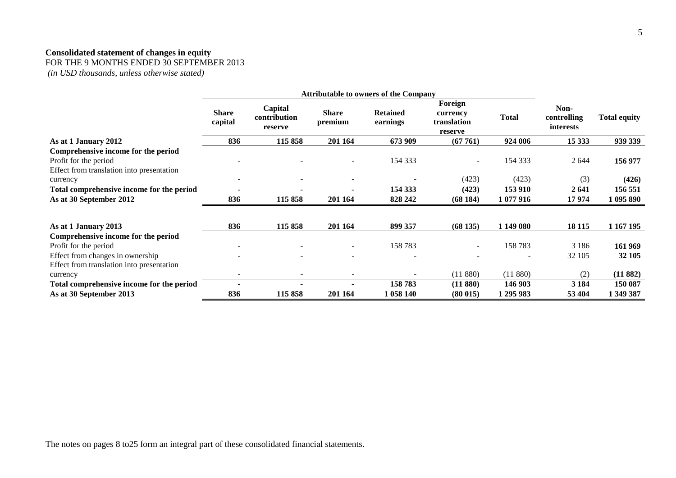## **Consolidated statement of changes in equity**

FOR THE 9 MONTHS ENDED 30 SEPTEMBER 2013

*(in USD thousands, unless otherwise stated)*

|                                                                                                           | <b>Attributable to owners of the Company</b> |                                    |                          |                             |                                               |              |                                  |                     |
|-----------------------------------------------------------------------------------------------------------|----------------------------------------------|------------------------------------|--------------------------|-----------------------------|-----------------------------------------------|--------------|----------------------------------|---------------------|
|                                                                                                           | <b>Share</b><br>capital                      | Capital<br>contribution<br>reserve | <b>Share</b><br>premium  | <b>Retained</b><br>earnings | Foreign<br>currency<br>translation<br>reserve | <b>Total</b> | Non-<br>controlling<br>interests | <b>Total equity</b> |
| As at 1 January 2012                                                                                      | 836                                          | 115858                             | 201 164                  | 673 909                     | (67761)                                       | 924 006      | 15 3 33                          | 939 339             |
| Comprehensive income for the period<br>Profit for the period<br>Effect from translation into presentation |                                              |                                    |                          | 154 333                     | $\sim$                                        | 154 333      | 2 6 4 4                          | 156 977             |
| currency                                                                                                  |                                              |                                    |                          |                             | (423)                                         | (423)        | (3)                              | (426)               |
| Total comprehensive income for the period                                                                 |                                              |                                    |                          | 154 333                     | (423)                                         | 153 910      | 2641                             | 156 551             |
| As at 30 September 2012                                                                                   | 836                                          | 115 858                            | 201 164                  | 828 242                     | (68184)                                       | 1 077 916    | 17974                            | 1 095 890           |
|                                                                                                           |                                              |                                    |                          |                             |                                               |              |                                  |                     |
| As at 1 January 2013                                                                                      | 836                                          | 115 858                            | 201 164                  | 899 357                     | (68135)                                       | 1 149 080    | 18 11 5                          | 1 167 195           |
| Comprehensive income for the period                                                                       |                                              |                                    |                          |                             |                                               |              |                                  |                     |
| Profit for the period                                                                                     |                                              |                                    | $\overline{\phantom{a}}$ | 158783                      |                                               | 158783       | 3 1 8 6                          | 161 969             |
| Effect from changes in ownership                                                                          |                                              |                                    |                          |                             |                                               |              | 32 105                           | 32 105              |
| Effect from translation into presentation                                                                 |                                              |                                    |                          |                             |                                               |              |                                  |                     |
| currency                                                                                                  |                                              |                                    |                          |                             | (11880)                                       | (11880)      | (2)                              | (11882)             |
| Total comprehensive income for the period                                                                 |                                              |                                    | ٠                        | 158783                      | (11 880)                                      | 146 903      | 3 1 8 4                          | 150 087             |
| As at 30 September 2013                                                                                   | 836                                          | 115 858                            | 201 164                  | 1 058 140                   | (80015)                                       | 1 295 983    | 53 404                           | 1 349 387           |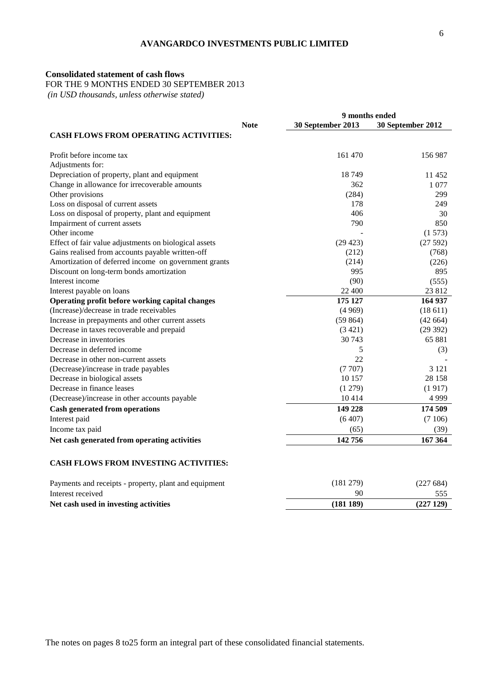## **Consolidated statement of cash flows**

FOR THE 9 MONTHS ENDED 30 SEPTEMBER 2013

*(in USD thousands, unless otherwise stated)*

|                                                       | 9 months ended |                   |                   |  |
|-------------------------------------------------------|----------------|-------------------|-------------------|--|
|                                                       | <b>Note</b>    | 30 September 2013 | 30 September 2012 |  |
| <b>CASH FLOWS FROM OPERATING ACTIVITIES:</b>          |                |                   |                   |  |
| Profit before income tax                              |                | 161 470           | 156 987           |  |
| Adjustments for:                                      |                |                   |                   |  |
| Depreciation of property, plant and equipment         |                | 18749             | 11 452            |  |
| Change in allowance for irrecoverable amounts         |                | 362               | 1 0 7 7           |  |
| Other provisions                                      |                | (284)             | 299               |  |
| Loss on disposal of current assets                    |                | 178               | 249               |  |
| Loss on disposal of property, plant and equipment     |                | 406               | 30                |  |
| Impairment of current assets                          |                | 790               | 850               |  |
| Other income                                          |                |                   | (1573)            |  |
| Effect of fair value adjustments on biological assets |                | (29 423)          | (27592)           |  |
| Gains realised from accounts payable written-off      |                | (212)             | (768)             |  |
| Amortization of deferred income on government grants  |                | (214)             | (226)             |  |
| Discount on long-term bonds amortization              |                | 995               | 895               |  |
| Interest income                                       |                | (90)              | (555)             |  |
| Interest payable on loans                             |                | 22 400            | 23 812            |  |
| Operating profit before working capital changes       |                | 175 127           | 164 937           |  |
| (Increase)/decrease in trade receivables              |                | (4969)            | (18611)           |  |
| Increase in prepayments and other current assets      |                | (59864)           | (42664)           |  |
| Decrease in taxes recoverable and prepaid             |                | (3421)            | (29 392)          |  |
| Decrease in inventories                               |                | 30 743            | 65 881            |  |
| Decrease in deferred income                           |                | 5                 | (3)               |  |
| Decrease in other non-current assets                  |                | 22                |                   |  |
| (Decrease)/increase in trade payables                 |                | (7707)            | 3 1 2 1           |  |
| Decrease in biological assets                         |                | 10 157            | 28 158            |  |
| Decrease in finance leases                            |                | (1279)            | (1917)            |  |
| (Decrease)/increase in other accounts payable         |                | 10414             | 4 9 9 9           |  |
| <b>Cash generated from operations</b>                 |                | 149 228           | 174 509           |  |
| Interest paid                                         |                | (6407)            | (7106)            |  |
| Income tax paid                                       |                | (65)              | (39)              |  |
| Net cash generated from operating activities          |                | 142756            | 167 364           |  |
| <b>CASH FLOWS FROM INVESTING ACTIVITIES:</b>          |                |                   |                   |  |

#### **CASH FLOWS FROM INVESTING ACTIVITIES:**

| Payments and receipts - property, plant and equipment | (181 279) | (227684) |
|-------------------------------------------------------|-----------|----------|
| Interest received                                     | 90        |          |
| Net cash used in investing activities                 | (181 189) | (227129) |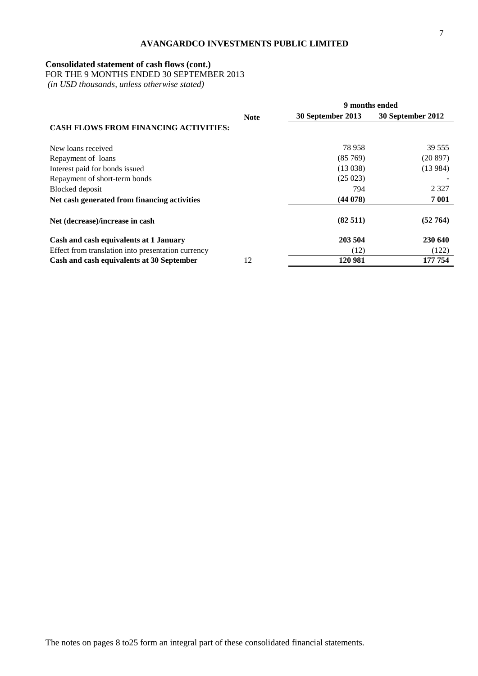### **Consolidated statement of cash flows (cont.)**

FOR THE 9 MONTHS ENDED 30 SEPTEMBER 2013

*(in USD thousands, unless otherwise stated)*

|                                                    |             | 9 months ended    |                   |  |
|----------------------------------------------------|-------------|-------------------|-------------------|--|
|                                                    | <b>Note</b> | 30 September 2013 | 30 September 2012 |  |
| <b>CASH FLOWS FROM FINANCING ACTIVITIES:</b>       |             |                   |                   |  |
| New loans received                                 |             | 78 958            | 39 555            |  |
| Repayment of loans                                 |             | (85769)           | (20897)           |  |
| Interest paid for bonds issued                     |             | (13038)           | (13984)           |  |
| Repayment of short-term bonds                      |             | (25023)           |                   |  |
| Blocked deposit                                    |             | 794               | 2 3 2 7           |  |
| Net cash generated from financing activities       |             | (44078)           | 7 001             |  |
| Net (decrease)/increase in cash                    |             | (82511)           | (52764)           |  |
| Cash and cash equivalents at 1 January             |             | 203 504           | 230 640           |  |
| Effect from translation into presentation currency |             | (12)              | (122)             |  |
| Cash and cash equivalents at 30 September          | 12          | 120 981           | 177 754           |  |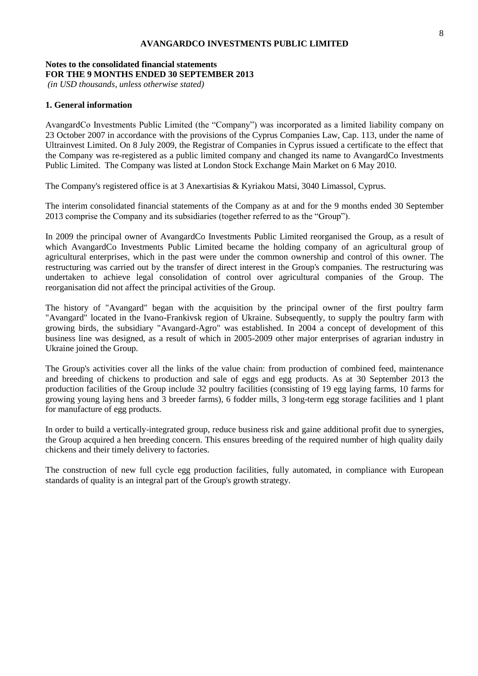## **Notes to the consolidated financial statements FOR THE 9 MONTHS ENDED 30 SEPTEMBER 2013**

*(in USD thousands, unless otherwise stated)*

### **1. General information**

AvangardCo Investments Public Limited (the "Company") was incorporated as a limited liability company on 23 October 2007 in accordance with the provisions of the Cyprus Companies Law, Cap. 113, under the name of Ultrainvest Limited. On 8 July 2009, the Registrar of Companies in Cyprus issued a certificate to the effect that the Company was re-registered as a public limited company and changed its name to AvangardCo Investments Public Limited. The Company was listed at London Stock Exchange Main Market on 6 May 2010.

The Company's registered office is at 3 Anexartisias & Kyriakou Matsi, 3040 Limassol, Cyprus.

The interim consolidated financial statements of the Company as at and for the 9 months ended 30 September 2013 comprise the Company and its subsidiaries (together referred to as the "Group").

In 2009 the principal owner of AvangardCo Investments Public Limited reorganised the Group, as a result of which AvangardCo Investments Public Limited became the holding company of an agricultural group of agricultural enterprises, which in the past were under the common ownership and control of this owner. The restructuring was carried out by the transfer of direct interest in the Group's companies. The restructuring was undertaken to achieve legal consolidation of control over agricultural companies of the Group. The reorganisation did not affect the principal activities of the Group.

The history of "Avangard" began with the acquisition by the principal owner of the first poultry farm "Avangard" located in the Ivano-Frankivsk region of Ukraine. Subsequently, to supply the poultry farm with growing birds, the subsidiary "Avangard-Agro" was established. In 2004 a concept of development of this business line was designed, as a result of which in 2005-2009 other major enterprises of agrarian industry in Ukraine joined the Group.

The Group's activities cover all the links of the value chain: from production of combined feed, maintenance and breeding of chickens to production and sale of eggs and egg products. As at 30 September 2013 the production facilities of the Group include 32 poultry facilities (consisting of 19 egg laying farms, 10 farms for growing young laying hens and 3 breeder farms), 6 fodder mills, 3 long-term egg storage facilities and 1 plant for manufacture of egg products.

In order to build a vertically-integrated group, reduce business risk and gaine additional profit due to synergies, the Group acquired a hen breeding concern. This ensures breeding of the required number of high quality daily chickens and their timely delivery to factories.

The construction of new full cycle egg production facilities, fully automated, in compliance with European standards of quality is an integral part of the Group's growth strategy.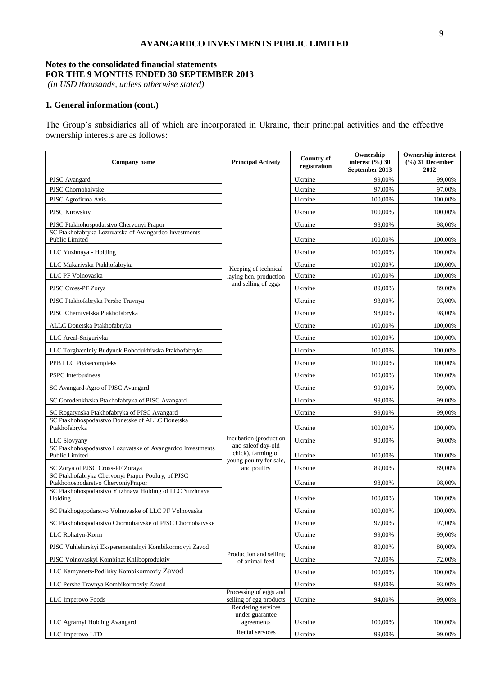## **Notes to the consolidated financial statements FOR THE 9 MONTHS ENDED 30 SEPTEMBER 2013**

*(in USD thousands, unless otherwise stated)*

## **1. General information (cont.)**

The Group's subsidiaries all of which are incorporated in Ukraine, their principal activities and the effective ownership interests are as follows:

| Company name                                                                                                                                       | <b>Principal Activity</b>                         | <b>Country of</b><br>registration | Ownership<br>interest $(\%$ ) 30<br>September 2013 | <b>Ownership interest</b><br>$(\frac{6}{6})$ 31 December<br>2012 |
|----------------------------------------------------------------------------------------------------------------------------------------------------|---------------------------------------------------|-----------------------------------|----------------------------------------------------|------------------------------------------------------------------|
| PJSC Avangard                                                                                                                                      |                                                   | Ukraine                           | 99,00%                                             | 99,00%                                                           |
| PJSC Chornobaivske                                                                                                                                 |                                                   | Ukraine                           | 97,00%                                             | 97,00%                                                           |
| PJSC Agrofirma Avis                                                                                                                                |                                                   | Ukraine                           | 100,00%                                            | 100,00%                                                          |
| <b>PJSC Kirovskiy</b>                                                                                                                              |                                                   | Ukraine                           | 100,00%                                            | 100,00%                                                          |
| PJSC Ptakhohospodarstvo Chervonyi Prapor                                                                                                           |                                                   | Ukraine                           | 98,00%                                             | 98,00%                                                           |
| SC Ptakhofabryka Lozuvatska of Avangardco Investments<br>Public Limited                                                                            |                                                   | Ukraine                           | 100,00%                                            | 100,00%                                                          |
| LLC Yuzhnaya - Holding                                                                                                                             |                                                   | Ukraine                           | 100,00%                                            | 100,00%                                                          |
| LLC Makarivska Ptakhofabryka                                                                                                                       | Keeping of technical                              | Ukraine                           | 100,00%                                            | 100,00%                                                          |
| LLC PF Volnovaska                                                                                                                                  | laying hen, production                            | Ukraine                           | 100,00%                                            | 100,00%                                                          |
| PJSC Cross-PF Zorya                                                                                                                                | and selling of eggs                               | Ukraine                           | 89,00%                                             | 89,00%                                                           |
| PJSC Ptakhofabryka Pershe Travnya                                                                                                                  |                                                   | Ukraine                           | 93,00%                                             | 93,00%                                                           |
| PJSC Chernivetska Ptakhofabryka                                                                                                                    |                                                   | Ukraine                           | 98,00%                                             | 98,00%                                                           |
| ALLC Donetska Ptakhofabryka                                                                                                                        |                                                   | Ukraine                           | 100,00%                                            | 100,00%                                                          |
| LLC Areal-Snigurivka                                                                                                                               |                                                   | Ukraine                           | 100,00%                                            | 100,00%                                                          |
| LLC Torgivenlniy Budynok Bohodukhivska Ptakhofabryka                                                                                               |                                                   | Ukraine                           | 100,00%                                            | 100,00%                                                          |
| PPB LLC Ptytsecompleks                                                                                                                             |                                                   | Ukraine                           | 100,00%                                            | 100,00%                                                          |
| <b>PSPC</b> Interbusiness                                                                                                                          |                                                   | Ukraine                           | 100,00%                                            | 100,00%                                                          |
| SC Avangard-Agro of PJSC Avangard                                                                                                                  |                                                   | Ukraine                           | 99,00%                                             | 99,00%                                                           |
| SC Gorodenkivska Ptakhofabryka of PJSC Avangard                                                                                                    |                                                   | Ukraine                           | 99,00%                                             | 99,00%                                                           |
| SC Rogatynska Ptakhofabryka of PJSC Avangard                                                                                                       |                                                   | Ukraine                           | 99,00%                                             | 99,00%                                                           |
| SC Ptakhohospodarstvo Donetske of ALLC Donetska<br>Ptakhofabryka                                                                                   |                                                   | Ukraine                           | 100,00%                                            | 100,00%                                                          |
| <b>LLC</b> Slovyany                                                                                                                                | Incubation (production<br>and saleof day-old      | Ukraine                           | 90,00%                                             | 90,00%                                                           |
| SC Ptakhohospodarstvo Lozuvatske of Avangardco Investments<br>Public Limited                                                                       | chick), farming of<br>young poultry for sale,     | Ukraine                           | 100,00%                                            | 100,00%                                                          |
| SC Zorya of PJSC Cross-PF Zoraya                                                                                                                   | and poultry                                       | Ukraine                           | 89,00%                                             | 89,00%                                                           |
| SC Ptakhofabryka Chervonyi Prapor Poultry, of PJSC<br>Ptakhohospodarstvo ChervoniyPrapor<br>SC Ptakhohospodarstvo Yuzhnaya Holding of LLC Yuzhnaya |                                                   | Ukraine                           | 98,00%                                             | 98,00%                                                           |
| Holding                                                                                                                                            |                                                   | Ukraine                           | 100,00%                                            | 100,00%                                                          |
| SC Ptakhogopodarstvo Volnovaske of LLC PF Volnovaska                                                                                               |                                                   | Ukraine                           | 100,00%                                            | 100,00%                                                          |
| SC Ptakhohospodarstvo Chornobaivske of PJSC Chornobaivske                                                                                          |                                                   | Ukraine                           | 97,00%                                             | 97,00%                                                           |
| LLC Rohatyn-Korm                                                                                                                                   |                                                   | Ukraine                           | 99,00%                                             | 99,00%                                                           |
| PJSC Vuhlehirskyi Eksperementalnyi Kombikormovyi Zavod                                                                                             |                                                   | Ukraine                           | 80,00%                                             | 80,00%                                                           |
| PJSC Volnovaskyi Kombinat Khliboproduktiv                                                                                                          | Production and selling<br>of animal feed          | Ukraine                           | 72,00%                                             | 72,00%                                                           |
| LLC Kamyanets-Podilsky Kombikormoviy Zavod                                                                                                         |                                                   | Ukraine                           | 100,00%                                            | 100,00%                                                          |
| LLC Pershe Travnya Kombikormoviy Zavod                                                                                                             |                                                   | Ukraine                           | 93,00%                                             | 93,00%                                                           |
| LLC Imperovo Foods                                                                                                                                 | Processing of eggs and<br>selling of egg products | Ukraine                           | 94,00%                                             | 99,00%                                                           |
|                                                                                                                                                    | Rendering services<br>under guarantee             |                                   |                                                    |                                                                  |
| LLC Agrarnyi Holding Avangard                                                                                                                      | agreements                                        | Ukraine                           | 100,00%                                            | 100,00%                                                          |
| LLC Imperovo LTD                                                                                                                                   | Rental services                                   | Ukraine                           | 99.00%                                             | 99,00%                                                           |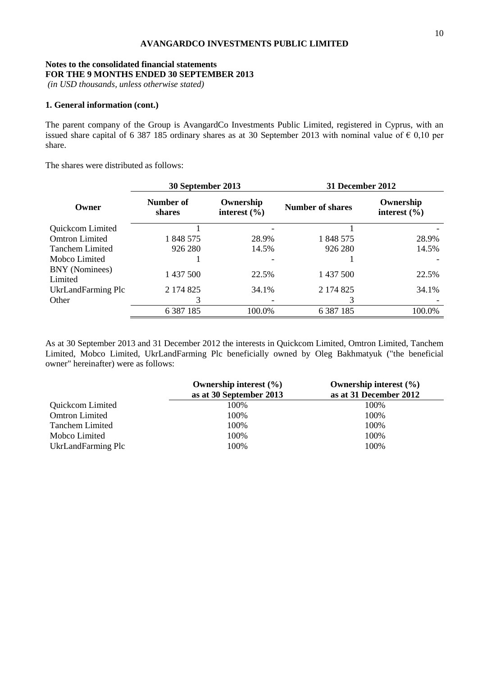## **Notes to the consolidated financial statements FOR THE 9 MONTHS ENDED 30 SEPTEMBER 2013**

*(in USD thousands, unless otherwise stated)*

#### **1. General information (cont.)**

The parent company of the Group is AvangardCo Investments Public Limited, registered in Cyprus, with an issued share capital of 6 387 185 ordinary shares as at 30 September 2013 with nominal value of  $\epsilon$  0,10 per share.

The shares were distributed as follows:

|                           | 30 September 2013   |                               | <b>31 December 2012</b> |                               |  |
|---------------------------|---------------------|-------------------------------|-------------------------|-------------------------------|--|
| Owner                     | Number of<br>shares | Ownership<br>interest $(\% )$ | <b>Number of shares</b> | Ownership<br>interest $(\% )$ |  |
| Quickcom Limited          |                     |                               |                         |                               |  |
| <b>Omtron Limited</b>     | 1 848 575           | 28.9%                         | 1 848 575               | 28.9%                         |  |
| <b>Tanchem Limited</b>    | 926 280             | 14.5%                         | 926 280                 | 14.5%                         |  |
| Mobco Limited             |                     |                               |                         |                               |  |
| BNY (Nominees)<br>Limited | 1 437 500           | 22.5%                         | 1 437 500               | 22.5%                         |  |
| UkrLandFarming Plc        | 2 174 825           | 34.1%                         | 2 174 825               | 34.1%                         |  |
| Other                     | 3                   |                               |                         |                               |  |
|                           | 6 3 8 7 1 8 5       | 100.0%                        | 6 3 8 7 1 8 5           | 100.0%                        |  |

As at 30 September 2013 and 31 December 2012 the interests in Quickcom Limited, Omtron Limited, Tanchem Limited, Mobco Limited, UkrLandFarming Plc beneficially owned by Oleg Bakhmatyuk ("the beneficial owner" hereinafter) were as follows:

|                        | Ownership interest $(\% )$<br>as at 30 September 2013 | Ownership interest $(\% )$<br>as at 31 December 2012 |
|------------------------|-------------------------------------------------------|------------------------------------------------------|
| Quickcom Limited       | 100%                                                  | 100\%                                                |
| <b>Omtron Limited</b>  | 100%                                                  | 100%                                                 |
| <b>Tanchem Limited</b> | 100%                                                  | 100%                                                 |
| Mobco Limited          | 100%                                                  | 100%                                                 |
| UkrLandFarming Plc     | 100%                                                  | 100%                                                 |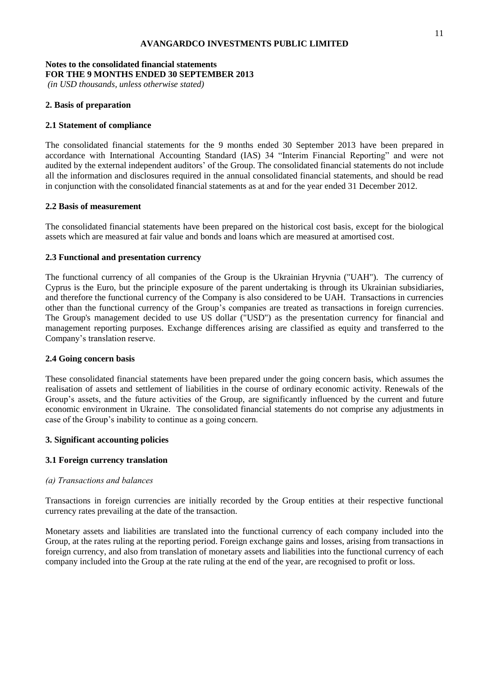## **Notes to the consolidated financial statements FOR THE 9 MONTHS ENDED 30 SEPTEMBER 2013**

*(in USD thousands, unless otherwise stated)*

## **2. Basis of preparation**

## **2.1 Statement of compliance**

The consolidated financial statements for the 9 months ended 30 September 2013 have been prepared in accordance with International Accounting Standard (IAS) 34 "Interim Financial Reporting" and were not audited by the external independent auditors' of the Group. The consolidated financial statements do not include all the information and disclosures required in the annual consolidated financial statements, and should be read in conjunction with the consolidated financial statements as at and for the year ended 31 December 2012.

### **2.2 Basis of measurement**

The consolidated financial statements have been prepared on the historical cost basis, except for the biological assets which are measured at fair value and bonds and loans which are measured at amortised cost.

## **2.3 Functional and presentation currency**

The functional currency of all companies of the Group is the Ukrainian Hryvnia ("UAH"). The currency of Cyprus is the Euro, but the principle exposure of the parent undertaking is through its Ukrainian subsidiaries, and therefore the functional currency of the Company is also considered to be UAH. Transactions in currencies other than the functional currency of the Group's companies are treated as transactions in foreign currencies. The Group's management decided to use US dollar ("USD") as the presentation currency for financial and management reporting purposes. Exchange differences arising are classified as equity and transferred to the Company's translation reserve.

### **2.4 Going concern basis**

These consolidated financial statements have been prepared under the going concern basis, which assumes the realisation of assets and settlement of liabilities in the course of ordinary economic activity. Renewals of the Group's assets, and the future activities of the Group, are significantly influenced by the current and future economic environment in Ukraine. The consolidated financial statements do not comprise any adjustments in case of the Group's inability to continue as a going concern.

### **3. Significant accounting policies**

## **3.1 Foreign currency translation**

### *(а) Transactions and balances*

Transactions in foreign currencies are initially recorded by the Group entities at their respective functional currency rates prevailing at the date of the transaction.

Monetary assets and liabilities are translated into the functional currency of each company included into the Group, at the rates ruling at the reporting period. Foreign exchange gains and losses, arising from transactions in foreign currency, and also from translation of monetary assets and liabilities into the functional currency of each company included into the Group at the rate ruling at the end of the year, are recognised to profit or loss.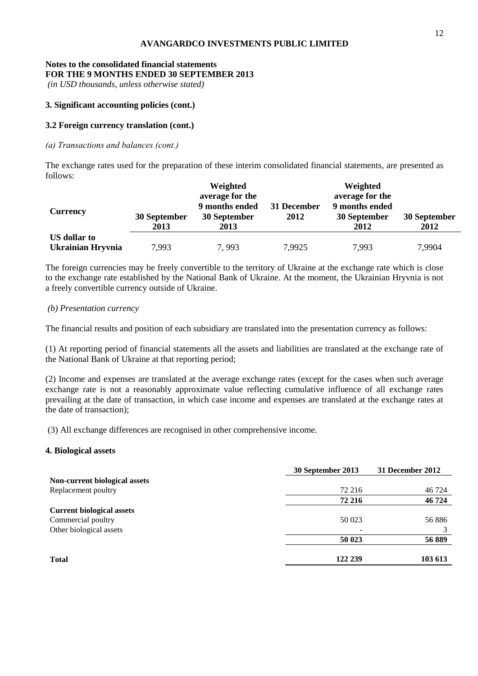## **Notes to the consolidated financial statements FOR THE 9 MONTHS ENDED 30 SEPTEMBER 2013**

*(in USD thousands, unless otherwise stated)*

### **3. Significant accounting policies (cont.)**

## **3.2 Foreign currency translation (cont.)**

## *(а) Transactions and balances (cont.)*

The exchange rates used for the preparation of these interim consolidated financial statements, are presented as follows:

| <b>Currency</b>   | 30 September<br>2013 | Weighted<br>average for the<br>9 months ended<br>30 September<br>2013 | 31 December<br>2012 | Weighted<br>average for the<br>9 months ended<br>30 September<br>2012 | 30 September<br>2012 |
|-------------------|----------------------|-----------------------------------------------------------------------|---------------------|-----------------------------------------------------------------------|----------------------|
| US dollar to      |                      |                                                                       |                     |                                                                       |                      |
| Ukrainian Hryvnia | 7,993                | 7,993                                                                 | 7,9925              | 7,993                                                                 | 7,9904               |

The foreign currencies may be freely convertible to the territory of Ukraine at the exchange rate which is close to the exchange rate established by the National Bank of Ukraine. At the moment, the Ukrainian Hryvnia is not a freely convertible currency outside of Ukraine.

### *(b) Presentation currency*

The financial results and position of each subsidiary are translated into the presentation currency as follows:

(1) At reporting period of financial statements all the assets and liabilities are translated at the exchange rate of the National Bank of Ukraine at that reporting period;

(2) Income and expenses are translated at the average exchange rates (except for the cases when such average exchange rate is not a reasonably approximate value reflecting cumulative influence of all exchange rates prevailing at the date of transaction, in which case income and expenses are translated at the exchange rates at the date of transaction);

(3) All exchange differences are recognised in other comprehensive income.

### **4. Biological assets**

|                                  | 30 September 2013 | 31 December 2012 |
|----------------------------------|-------------------|------------------|
| Non-current biological assets    |                   |                  |
| Replacement poultry              | 72 216            | 46 724           |
|                                  | 72 216            | 46 724           |
| <b>Current biological assets</b> |                   |                  |
| Commercial poultry               | 50 023            | 56 886           |
| Other biological assets          |                   |                  |
|                                  | 50 023            | 56 889           |
| <b>Total</b>                     | 122 239           | 103 613          |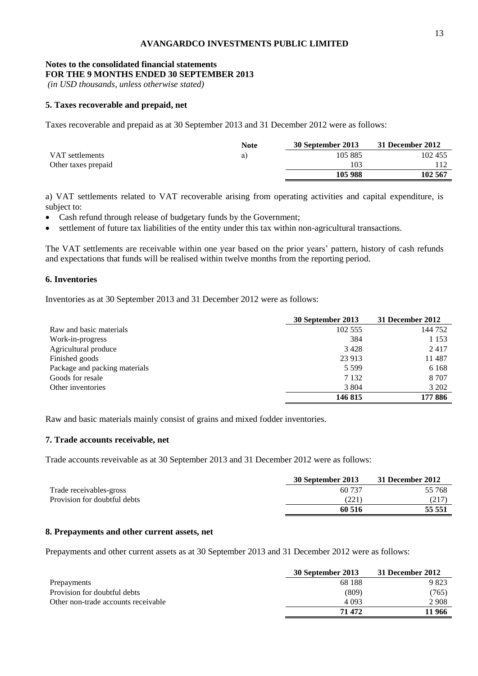### **Notes to the consolidated financial statements FOR THE 9 MONTHS ENDED 30 SEPTEMBER 2013**

*(in USD thousands, unless otherwise stated)*

### **5. Taxes recoverable and prepaid, net**

Taxes recoverable and prepaid as at 30 September 2013 and 31 December 2012 were as follows:

|                     | <b>Note</b> | 30 September 2013 | 31 December 2012 |
|---------------------|-------------|-------------------|------------------|
| VAT settlements     | a J         | 105 885           | 102 455          |
| Other taxes prepaid |             | 103               |                  |
|                     |             | 105 988           | 102 567          |

a) VAT settlements related to VAT recoverable arising from operating activities and capital expenditure, is subject to:

- Cash refund through release of budgetary funds by the Government;
- settlement of future tax liabilities of the entity under this tax within non-agricultural transactions.

The VAT settlements are receivable within one year based on the prior years' pattern, history of cash refunds and expectations that funds will be realised within twelve months from the reporting period.

## **6. Inventories**

Inventories as at 30 September 2013 and 31 December 2012 were as follows:

|                               | 30 September 2013 | 31 December 2012 |
|-------------------------------|-------------------|------------------|
| Raw and basic materials       | 102 555           | 144 752          |
| Work-in-progress              | 384               | 1 1 5 3          |
| Agricultural produce          | 3428              | 2417             |
| Finished goods                | 23 913            | 11 487           |
| Package and packing materials | 5 5 9 9           | 6 1 6 8          |
| Goods for resale              | 7 1 3 2           | 8 7 0 7          |
| Other inventories             | 3 8 0 4           | 3 202            |
|                               | 146 815           | 177 886          |

Raw and basic materials mainly consist of grains and mixed fodder inventories.

#### **7. Trade accounts receivable, net**

Trade accounts reveivable as at 30 September 2013 and 31 December 2012 were as follows:

|                              | 30 September 2013 | 31 December 2012 |
|------------------------------|-------------------|------------------|
| Trade receivables-gross      | 60 737            | 55 768           |
| Provision for doubtful debts | (221)             | (217             |
|                              | 60 516            | 55 551           |

#### **8. Prepayments and other current assets, net**

Prepayments and other current assets as at 30 September 2013 and 31 December 2012 were as follows:

|                                     | 30 September 2013 | 31 December 2012 |
|-------------------------------------|-------------------|------------------|
| Prepayments                         | 68 188            | 9823             |
| Provision for doubtful debts        | (809)             | (765)            |
| Other non-trade accounts receivable | 4 0 9 3           | 2 908            |
|                                     | 71 472            | 11 966           |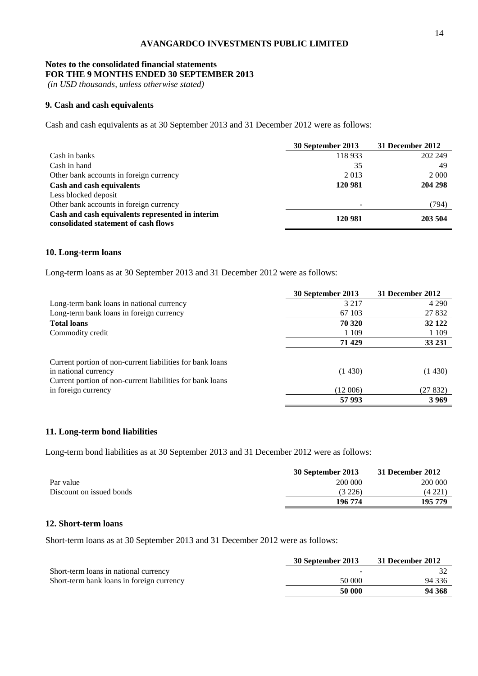## **Notes to the consolidated financial statements FOR THE 9 MONTHS ENDED 30 SEPTEMBER 2013**

*(in USD thousands, unless otherwise stated)*

#### **9. Cash and cash equivalents**

Cash and cash equivalents as at 30 September 2013 and 31 December 2012 were as follows:

|                                                                                          | 30 September 2013 | 31 December 2012 |
|------------------------------------------------------------------------------------------|-------------------|------------------|
| Cash in banks                                                                            | 118933            | 202 249          |
| Cash in hand                                                                             | 35                | 49               |
| Other bank accounts in foreign currency                                                  | 2013              | 2 0 0 0          |
| Cash and cash equivalents                                                                | 120 981           | 204 298          |
| Less blocked deposit                                                                     |                   |                  |
| Other bank accounts in foreign currency                                                  |                   | (794)            |
| Cash and cash equivalents represented in interim<br>consolidated statement of cash flows | 120 981           | 203 504          |

#### **10. Long-term loans**

Long-term loans as at 30 September 2013 and 31 December 2012 were as follows:

|                                                           | 30 September 2013 | 31 December 2012 |
|-----------------------------------------------------------|-------------------|------------------|
| Long-term bank loans in national currency                 | 3 2 1 7           | 4 2 9 0          |
| Long-term bank loans in foreign currency                  | 67 103            | 27 832           |
| <b>Total loans</b>                                        | 70 320            | 32 122           |
| Commodity credit                                          | 1 1 0 9           | 1 1 0 9          |
|                                                           | 71 429            | 33 231           |
|                                                           |                   |                  |
| Current portion of non-current liabilities for bank loans |                   |                  |
| in national currency                                      | (1430)            | (1430)           |
| Current portion of non-current liabilities for bank loans |                   |                  |
| in foreign currency                                       | (12006)           | (27 832)         |
|                                                           | 57 993            | 3969             |

### **11. Long-term bond liabilities**

Long-term bond liabilities as at 30 September 2013 and 31 December 2012 were as follows:

|                          | 30 September 2013 | 31 December 2012 |
|--------------------------|-------------------|------------------|
| Par value                | 200 000           | 200 000          |
| Discount on issued bonds | (3 226)           | (4 221           |
|                          | 196 774           | 195 779          |

## **12. Short-term loans**

Short-term loans as at 30 September 2013 and 31 December 2012 were as follows:

|                                           | 30 September 2013 | 31 December 2012 |
|-------------------------------------------|-------------------|------------------|
| Short-term loans in national currency     |                   |                  |
| Short-term bank loans in foreign currency | 50 000            | 94 336           |
|                                           | 50 000            | 94 368           |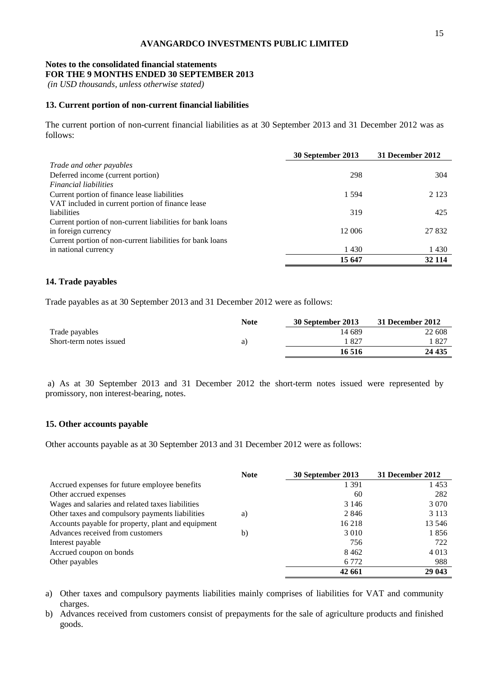#### **Notes to the consolidated financial statements FOR THE 9 MONTHS ENDED 30 SEPTEMBER 2013**

*(in USD thousands, unless otherwise stated)*

#### **13. Current portion of non-current financial liabilities**

The current portion of non-current financial liabilities as at 30 September 2013 and 31 December 2012 was as follows:

|                                                           | 30 September 2013 | 31 December 2012 |
|-----------------------------------------------------------|-------------------|------------------|
| Trade and other payables                                  |                   |                  |
| Deferred income (current portion)                         | 298               | 304              |
| <i>Financial liabilities</i>                              |                   |                  |
| Current portion of finance lease liabilities              | 1.594             | 2 1 2 3          |
| VAT included in current portion of finance lease          |                   |                  |
| liabilities                                               | 319               | 425              |
| Current portion of non-current liabilities for bank loans |                   |                  |
| in foreign currency                                       | 12 006            | 27 832           |
| Current portion of non-current liabilities for bank loans |                   |                  |
| in national currency                                      | 1430              | 1 4 3 0          |
|                                                           | 15 647            | 32 114           |

#### **14. Trade payables**

Trade payables as at 30 September 2013 and 31 December 2012 were as follows:

|                         | <b>Note</b> | 30 September 2013 | 31 December 2012 |
|-------------------------|-------------|-------------------|------------------|
| Trade payables          |             | 14 689            | 22 608           |
| Short-term notes issued | a)          | -827              | $182^{-}$        |
|                         |             | 16 516            | 24 435           |

a) As at 30 September 2013 and 31 December 2012 the short-term notes issued were represented by promissory, non interest-bearing, notes.

#### **15. Other accounts payable**

Other accounts payable as at 30 September 2013 and 31 December 2012 were as follows:

|                                                    | <b>Note</b> | 30 September 2013 | 31 December 2012 |
|----------------------------------------------------|-------------|-------------------|------------------|
| Accrued expenses for future employee benefits      |             | 1 3 9 1           | 1453             |
| Other accrued expenses                             |             | 60                | 282              |
| Wages and salaries and related taxes liabilities   |             | 3 1 4 6           | 3 0 7 0          |
| Other taxes and compulsory payments liabilities    | a)          | 2846              | 3 1 1 3          |
| Accounts payable for property, plant and equipment |             | 16 218            | 13 546           |
| Advances received from customers                   | b)          | 3 0 1 0           | 1856             |
| Interest payable                                   |             | 756               | 722              |
| Accrued coupon on bonds                            |             | 8462              | 4 0 1 3          |
| Other payables                                     |             | 6 7 7 2           | 988              |
|                                                    |             | 42 661            | 29 043           |

a) Other taxes and compulsory payments liabilities mainly comprises of liabilities for VAT and community charges.

b) Advances received from customers consist of prepayments for the sale of agriculture products and finished goods.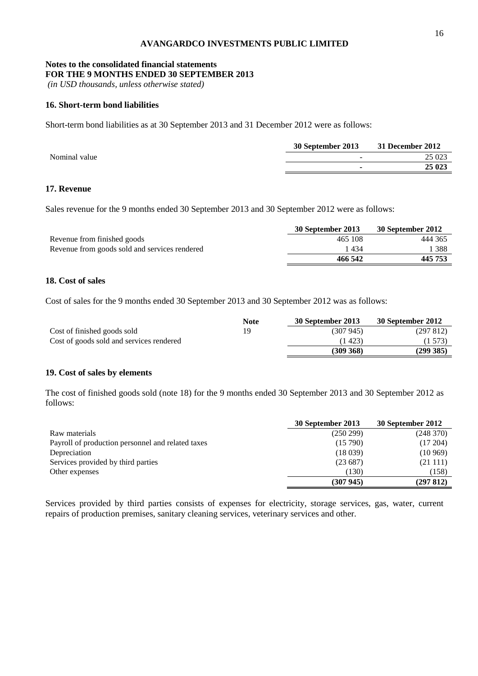#### **Notes to the consolidated financial statements FOR THE 9 MONTHS ENDED 30 SEPTEMBER 2013**

*(in USD thousands, unless otherwise stated)*

#### **16. Short-term bond liabilities**

Short-term bond liabilities as at 30 September 2013 and 31 December 2012 were as follows:

|               | 30 September 2013        | 31 December 2012 |
|---------------|--------------------------|------------------|
| Nominal value | $\overline{\phantom{a}}$ | 25 023           |
|               |                          | 25 023           |
|               |                          |                  |

## **17. Revenue**

Sales revenue for the 9 months ended 30 September 2013 and 30 September 2012 were as follows:

|                                               | 30 September 2013 | 30 September 2012 |
|-----------------------------------------------|-------------------|-------------------|
| Revenue from finished goods                   | 465 108           | 444 365           |
| Revenue from goods sold and services rendered | 1 434             | 388               |
|                                               | 466 542           | 445 753           |

## **18. Cost of sales**

Cost of sales for the 9 months ended 30 September 2013 and 30 September 2012 was as follows:

|                                          | <b>Note</b> | 30 September 2013 | 30 September 2012 |
|------------------------------------------|-------------|-------------------|-------------------|
| Cost of finished goods sold              | 19          | (307 945)         | (297812)          |
| Cost of goods sold and services rendered |             | (1423)            | (1573)            |
|                                          |             | $(309\,368)$      | (299385)          |

## **19. Cost of sales by elements**

The cost of finished goods sold (note 18) for the 9 months ended 30 September 2013 and 30 September 2012 as follows:

|                                                   | 30 September 2013 | 30 September 2012 |
|---------------------------------------------------|-------------------|-------------------|
| Raw materials                                     | (250 299)         | (248 370)         |
| Payroll of production personnel and related taxes | (15790)           | (17204)           |
| Depreciation                                      | (18039)           | (10969)           |
| Services provided by third parties                | (23687)           | (21111)           |
| Other expenses                                    | (130)             | (158)             |
|                                                   | (307945)          | (297812)          |

Services provided by third parties consists of expenses for electricity, storage services, gas, water, current repairs of production premises, sanitary cleaning services, veterinary services and other.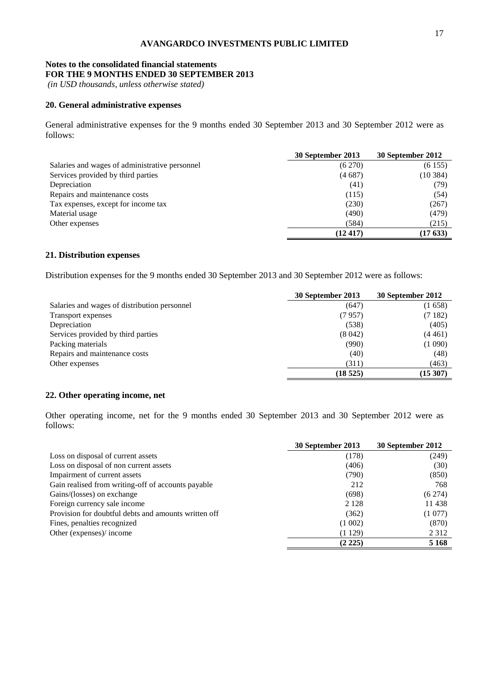#### **Notes to the consolidated financial statements FOR THE 9 MONTHS ENDED 30 SEPTEMBER 2013**

*(in USD thousands, unless otherwise stated)*

### **20. General administrative expenses**

General administrative expenses for the 9 months ended 30 September 2013 and 30 September 2012 were as follows:

|                                                | 30 September 2013 | 30 September 2012 |
|------------------------------------------------|-------------------|-------------------|
| Salaries and wages of administrative personnel | (6270)            | (6155)            |
| Services provided by third parties             | (4687)            | (10384)           |
| Depreciation                                   | (41)              | (79)              |
| Repairs and maintenance costs                  | (115)             | (54)              |
| Tax expenses, except for income tax            | (230)             | (267)             |
| Material usage                                 | (490)             | (479)             |
| Other expenses                                 | (584)             | (215)             |
|                                                | (12417)           | (17633)           |

#### **21. Distribution expenses**

Distribution expenses for the 9 months ended 30 September 2013 and 30 September 2012 were as follows:

|                                              | 30 September 2013 | 30 September 2012 |
|----------------------------------------------|-------------------|-------------------|
| Salaries and wages of distribution personnel | (647)             | (1658)            |
| Transport expenses                           | (7957)            | (7182)            |
| Depreciation                                 | (538)             | (405)             |
| Services provided by third parties           | (8042)            | (4461)            |
| Packing materials                            | (990)             | (1 090)           |
| Repairs and maintenance costs                | (40)              | (48)              |
| Other expenses                               | (311)             | (463)             |
|                                              | (18525)           | (15307)           |

#### **22. Other operating income, net**

Other operating income, net for the 9 months ended 30 September 2013 and 30 September 2012 were as follows:

|                                                      | 30 September 2013 | 30 September 2012 |
|------------------------------------------------------|-------------------|-------------------|
| Loss on disposal of current assets                   | (178)             | (249)             |
| Loss on disposal of non current assets               | (406)             | (30)              |
| Impairment of current assets                         | (790)             | (850)             |
| Gain realised from writing-off of accounts payable   | 212               | 768               |
| Gains/(losses) on exchange                           | (698)             | (6274)            |
| Foreign currency sale income                         | 2 1 2 8           | 11 438            |
| Provision for doubtful debts and amounts written off | (362)             | (1077)            |
| Fines, penalties recognized                          | (1002)            | (870)             |
| Other (expenses)/ income                             | (1129)            | 2 3 1 2           |
|                                                      | $(2\;225)$        | 5 1 6 8           |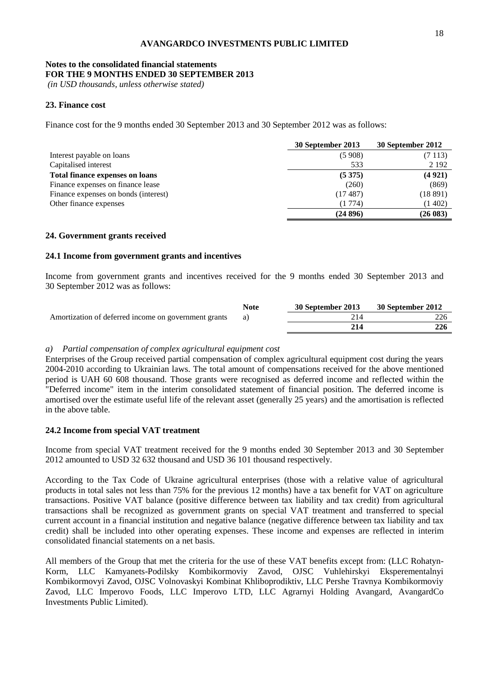### **Notes to the consolidated financial statements FOR THE 9 MONTHS ENDED 30 SEPTEMBER 2013**

*(in USD thousands, unless otherwise stated)*

## **23. Finance cost**

Finance cost for the 9 months ended 30 September 2013 and 30 September 2012 was as follows:

|                                        | 30 September 2013 | 30 September 2012 |
|----------------------------------------|-------------------|-------------------|
| Interest payable on loans              | (5908)            | (7113)            |
| Capitalised interest                   | 533               | 2 1 9 2           |
| <b>Total finance expenses on loans</b> | (5375)            | (4921)            |
| Finance expenses on finance lease      | (260)             | (869)             |
| Finance expenses on bonds (interest)   | (17.487)          | (18891)           |
| Other finance expenses                 | (1774)            | (1402)            |
|                                        | (24896)           | (26083)           |

### **24. Government grants received**

#### **24.1 Income from government grants and incentives**

Income from government grants and incentives received for the 9 months ended 30 September 2013 and 30 September 2012 was as follows:

|                                                      | <b>Note</b> | 30 September 2013 | 30 September 2012 |
|------------------------------------------------------|-------------|-------------------|-------------------|
| Amortization of deferred income on government grants |             |                   |                   |
|                                                      |             |                   | 226               |

### *a) Partial compensation of complex agricultural equipment cost*

Enterprises of the Group received partial compensation of complex agricultural equipment cost during the years 2004-2010 according to Ukrainian laws. The total amount of compensations received for the above mentioned period is UAH 60 608 thousand. Those grants were recognised as deferred income and reflected within the "Deferred income" item in the interim consolidated statement of financial position. The deferred income is amortised over the estimate useful life of the relevant asset (generally 25 years) and the amortisation is reflected in the above table.

### **24.2 Income from special VAT treatment**

Income from special VAT treatment received for the 9 months ended 30 September 2013 and 30 September 2012 amounted to USD 32 632 thousand and USD 36 101 thousand respectively.

According to the Tax Code of Ukraine agricultural enterprises (those with a relative value of agricultural products in total sales not less than 75% for the previous 12 months) have a tax benefit for VAT on agriculture transactions. Positive VAT balance (positive difference between tax liability and tax credit) from agricultural transactions shall be recognized as government grants on special VAT treatment and transferred to special current account in a financial institution and negative balance (negative difference between tax liability and tax credit) shall be included into other operating expenses. These income and expenses are reflected in interim consolidated financial statements on a net basis.

All members of the Group that met the criteria for the use of these VAT benefits except from: (LLC Rohatyn-Korm, LLC Kamyanets-Podilsky Kombikormoviy Zavod, OJSC Vuhlehirskyi Eksperementalnyi Kombikormovyi Zavod, OJSC Volnovaskyi Kombinat Khliboprodiktiv, LLC Pershe Travnya Kombikormoviy Zavod, LLC Imperovo Foods, LLC Imperovo LTD, LLC Agrarnyi Holding Avangard, AvangardCo Investments Public Limited).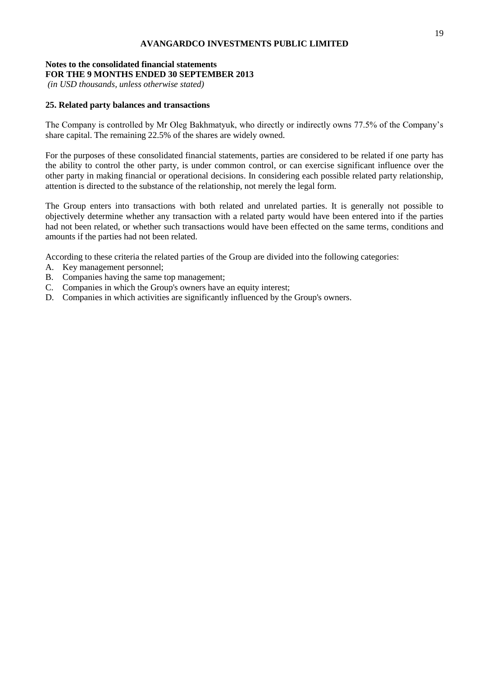## **Notes to the consolidated financial statements FOR THE 9 MONTHS ENDED 30 SEPTEMBER 2013**

*(in USD thousands, unless otherwise stated)*

## **25. Related party balances and transactions**

The Company is controlled by Mr Oleg Bakhmatyuk, who directly or indirectly owns 77.5% of the Company's share capital. The remaining 22.5% of the shares are widely owned.

For the purposes of these consolidated financial statements, parties are considered to be related if one party has the ability to control the other party, is under common control, or can exercise significant influence over the other party in making financial or operational decisions. In considering each possible related party relationship, attention is directed to the substance of the relationship, not merely the legal form.

The Group enters into transactions with both related and unrelated parties. It is generally not possible to objectively determine whether any transaction with a related party would have been entered into if the parties had not been related, or whether such transactions would have been effected on the same terms, conditions and amounts if the parties had not been related.

According to these criteria the related parties of the Group are divided into the following categories:

- A. Key management personnel;
- B. Companies having the same top management;
- C. Companies in which the Group's owners have an equity interest;
- D. Companies in which activities are significantly influenced by the Group's owners.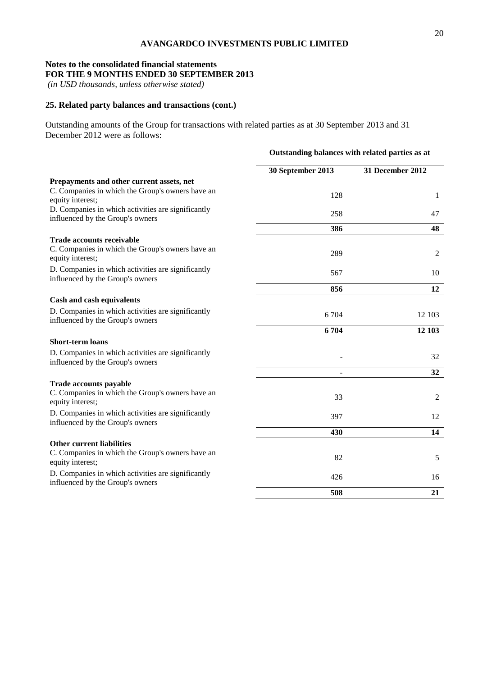## **Notes to the consolidated financial statements FOR THE 9 MONTHS ENDED 30 SEPTEMBER 2013**

*(in USD thousands, unless otherwise stated)*

## **25. Related party balances and transactions (cont.)**

Outstanding amounts of the Group for transactions with related parties as at 30 September 2013 and 31 December 2012 were as follows:

|                                                                                        | Outstanding balances with related parties as at |                  |  |
|----------------------------------------------------------------------------------------|-------------------------------------------------|------------------|--|
|                                                                                        | 30 September 2013                               | 31 December 2012 |  |
| Prepayments and other current assets, net                                              |                                                 |                  |  |
| C. Companies in which the Group's owners have an<br>equity interest;                   | 128                                             | 1                |  |
| D. Companies in which activities are significantly<br>influenced by the Group's owners | 258                                             | 47               |  |
|                                                                                        | 386                                             | 48               |  |
| <b>Trade accounts receivable</b>                                                       |                                                 |                  |  |
| C. Companies in which the Group's owners have an<br>equity interest;                   | 289                                             | $\overline{2}$   |  |
| D. Companies in which activities are significantly<br>influenced by the Group's owners | 567                                             | 10               |  |
|                                                                                        | 856                                             | 12               |  |
| Cash and cash equivalents                                                              |                                                 |                  |  |
| D. Companies in which activities are significantly<br>influenced by the Group's owners | 6 704                                           | 12 103           |  |
|                                                                                        | 6704                                            | 12 103           |  |
| <b>Short-term loans</b>                                                                |                                                 |                  |  |
| D. Companies in which activities are significantly<br>influenced by the Group's owners |                                                 | 32               |  |
|                                                                                        |                                                 | 32               |  |
| <b>Trade accounts payable</b>                                                          |                                                 |                  |  |
| C. Companies in which the Group's owners have an<br>equity interest;                   | 33                                              | 2                |  |
| D. Companies in which activities are significantly<br>influenced by the Group's owners | 397                                             | 12               |  |
|                                                                                        | 430                                             | 14               |  |
| <b>Other current liabilities</b>                                                       |                                                 |                  |  |
| C. Companies in which the Group's owners have an<br>equity interest;                   | 82                                              | 5                |  |
| D. Companies in which activities are significantly<br>influenced by the Group's owners | 426                                             | 16               |  |
|                                                                                        | 508                                             | 21               |  |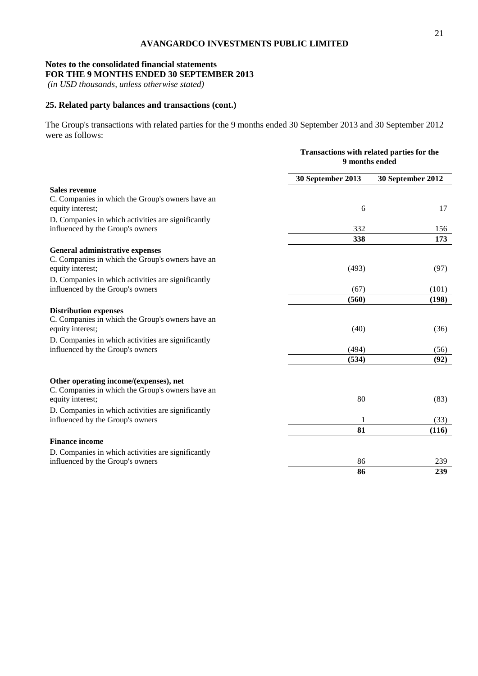## **Notes to the consolidated financial statements FOR THE 9 MONTHS ENDED 30 SEPTEMBER 2013**

*(in USD thousands, unless otherwise stated)*

## **25. Related party balances and transactions (cont.)**

The Group's transactions with related parties for the 9 months ended 30 September 2013 and 30 September 2012 were as follows:

|                                                                                                                | Transactions with related parties for the<br>9 months ended |                   |
|----------------------------------------------------------------------------------------------------------------|-------------------------------------------------------------|-------------------|
|                                                                                                                | 30 September 2013                                           | 30 September 2012 |
| <b>Sales revenue</b><br>C. Companies in which the Group's owners have an<br>equity interest;                   | 6                                                           | 17                |
| D. Companies in which activities are significantly<br>influenced by the Group's owners                         | 332                                                         | 156               |
|                                                                                                                | 338                                                         | 173               |
| General administrative expenses<br>C. Companies in which the Group's owners have an<br>equity interest;        | (493)                                                       | (97)              |
| D. Companies in which activities are significantly<br>influenced by the Group's owners                         | (67)                                                        | (101)             |
|                                                                                                                | (560)                                                       | (198)             |
| <b>Distribution expenses</b><br>C. Companies in which the Group's owners have an<br>equity interest;           | (40)                                                        | (36)              |
| D. Companies in which activities are significantly<br>influenced by the Group's owners                         | (494)                                                       | (56)              |
|                                                                                                                | (534)                                                       | (92)              |
| Other operating income/(expenses), net<br>C. Companies in which the Group's owners have an<br>equity interest; | 80                                                          | (83)              |
| D. Companies in which activities are significantly<br>influenced by the Group's owners                         | 1                                                           | (33)              |
|                                                                                                                | 81                                                          | (116)             |
| <b>Finance income</b>                                                                                          |                                                             |                   |
| D. Companies in which activities are significantly                                                             |                                                             |                   |
| influenced by the Group's owners                                                                               | 86                                                          | 239               |
|                                                                                                                | 86                                                          | 239               |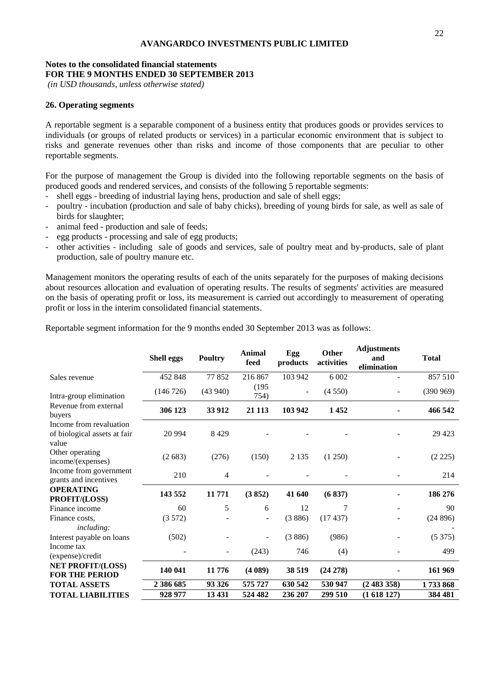## **Notes to the consolidated financial statements FOR THE 9 MONTHS ENDED 30 SEPTEMBER 2013**

*(in USD thousands, unless otherwise stated)*

#### **26. Operating segments**

A reportable segment is a separable component of a business entity that produces goods or provides services to individuals (or groups of related products or services) in a particular economic environment that is subject to risks and generate revenues other than risks and income of those components that are peculiar to other reportable segments.

For the purpose of management the Group is divided into the following reportable segments on the basis of produced goods and rendered services, and consists of the following 5 reportable segments:

- shell eggs breeding of industrial laying hens, production and sale of shell eggs;
- poultry incubation (production and sale of baby chicks), breeding of young birds for sale, as well as sale of birds for slaughter;
- animal feed production and sale of feeds;
- egg products processing and sale of egg products;
- other activities including sale of goods and services, sale of poultry meat and by-products, sale of plant production, sale of poultry manure etc.

Management monitors the operating results of each of the units separately for the purposes of making decisions about resources allocation and evaluation of operating results. The results of segments' activities are measured on the basis of operating profit or loss, its measurement is carried out accordingly to measurement of operating profit or loss in the interim consolidated financial statements.

|                                                                  | <b>Shell eggs</b> | <b>Poultry</b> | <b>Animal</b><br>feed | Egg<br>products | Other<br>activities | <b>Adjustments</b><br>and<br>elimination | <b>Total</b> |
|------------------------------------------------------------------|-------------------|----------------|-----------------------|-----------------|---------------------|------------------------------------------|--------------|
| Sales revenue                                                    | 452 848           | 77852          | 216 867               | 103 942         | 6 0 0 2             |                                          | 857 510      |
| Intra-group elimination                                          | (146 726)         | (43940)        | (195)<br>754)         |                 | (4550)              |                                          | (390969)     |
| Revenue from external<br>buyers                                  | 306 123           | 33 912         | 21 1 13               | 103 942         | 1452                |                                          | 466 542      |
| Income from revaluation<br>of biological assets at fair<br>value | 20 9 94           | 8429           |                       |                 |                     |                                          | 29 4 23      |
| Other operating<br>income/(expenses)                             | (2683)            | (276)          | (150)                 | 2 1 3 5         | (1 250)             |                                          | (2 225)      |
| Income from government<br>grants and incentives                  | 210               | 4              |                       |                 |                     |                                          | 214          |
| <b>OPERATING</b><br>PROFIT/(LOSS)                                | 143 552           | 11771          | (3852)                | 41 640          | (6837)              |                                          | 186 276      |
| Finance income                                                   | 60                | 5              | 6                     | 12              | 7                   |                                          | 90           |
| Finance costs.<br><i>including:</i>                              | (3572)            |                |                       | (3886)          | (17437)             |                                          | (24896)      |
| Interest payable on loans                                        | (502)             |                |                       | (3886)          | (986)               |                                          | (5375)       |
| Income tax<br>(expense)/credit                                   |                   |                | (243)                 | 746             | (4)                 |                                          | 499          |
| <b>NET PROFIT/(LOSS)</b><br><b>FOR THE PERIOD</b>                | 140 041           | 11 776         | (4089)                | 38 519          | $(24\ 278)$         |                                          | 161 969      |
| <b>TOTAL ASSETS</b>                                              | 2 386 685         | 93 326         | 575 727               | 630 542         | 530 947             | (2483358)                                | 1733868      |
| <b>TOTAL LIABILITIES</b>                                         | 928 977           | 13 4 31        | 524 482               | 236 207         | 299 510             | (1618127)                                | 384 481      |

Reportable segment information for the 9 months ended 30 September 2013 was as follows: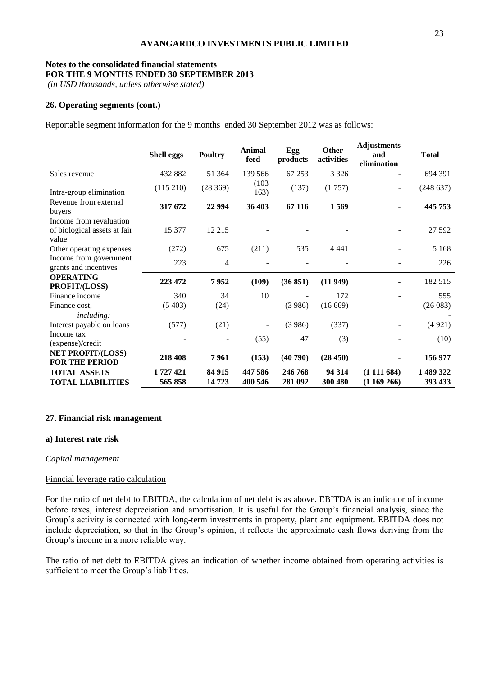## **Notes to the consolidated financial statements FOR THE 9 MONTHS ENDED 30 SEPTEMBER 2013**

*(in USD thousands, unless otherwise stated)*

#### **26. Operating segments (cont.)**

Reportable segment information for the 9 months ended 30 September 2012 was as follows:

|                                                                  | <b>Shell eggs</b> | <b>Poultry</b> | Animal<br>feed | Egg<br>products | <b>Other</b><br>activities | <b>Adjustments</b><br>and<br>elimination | <b>Total</b> |
|------------------------------------------------------------------|-------------------|----------------|----------------|-----------------|----------------------------|------------------------------------------|--------------|
| Sales revenue                                                    | 432 882           | 51 364         | 139 566        | 67 253          | 3 3 2 6                    |                                          | 694 391      |
| Intra-group elimination                                          | (115 210)         | (28369)        | (103)<br>163)  | (137)           | (1757)                     |                                          | (248637)     |
| Revenue from external<br>buyers                                  | 317 672           | 22 9 94        | 36 403         | 67 116          | 1569                       |                                          | 445 753      |
| Income from revaluation<br>of biological assets at fair<br>value | 15 377            | 12 215         |                |                 |                            |                                          | 27 592       |
| Other operating expenses                                         | (272)             | 675            | (211)          | 535             | 4 4 4 1                    |                                          | 5 1 6 8      |
| Income from government<br>grants and incentives                  | 223               | 4              |                |                 |                            |                                          | 226          |
| <b>OPERATING</b><br>PROFIT/(LOSS)                                | 223 472           | 7952           | (109)          | (36 851)        | (11949)                    |                                          | 182 515      |
| Finance income                                                   | 340               | 34             | 10             |                 | 172                        |                                          | 555          |
| Finance cost,<br><i>including:</i>                               | (5403)            | (24)           |                | (3986)          | (16669)                    |                                          | (26083)      |
| Interest payable on loans                                        | (577)             | (21)           | ۰              | (3986)          | (337)                      |                                          | (4921)       |
| Income tax<br>(expense)/credit                                   |                   |                | (55)           | 47              | (3)                        |                                          | (10)         |
| <b>NET PROFIT/(LOSS)</b><br><b>FOR THE PERIOD</b>                | 218 408           | 7961           | (153)          | (40790)         | (28450)                    |                                          | 156 977      |
| <b>TOTAL ASSETS</b>                                              | 1727421           | 84 915         | 447 586        | 246 768         | 94 314                     | (1111684)                                | 1 489 322    |
| <b>TOTAL LIABILITIES</b>                                         | 565 858           | 14 723         | 400 546        | 281 092         | 300 480                    | (1169266)                                | 393 433      |

#### **27. Financial risk management**

#### **a) Interest rate risk**

#### *Capital management*

#### Finncial leverage ratio calculation

For the ratio of net debt to EBITDA, the calculation of net debt is as above. EBITDA is an indicator of income before taxes, interest depreciation and amortisation. It is useful for the Group's financial analysis, since the Group's activity is connected with long-term investments in property, plant and equipment. EBITDA does not include depreciation, so that in the Group's opinion, it reflects the approximate cash flows deriving from the Group's income in a more reliable way.

The ratio of net debt to EBITDA gives an indication of whether income obtained from operating activities is sufficient to meet the Group's liabilities.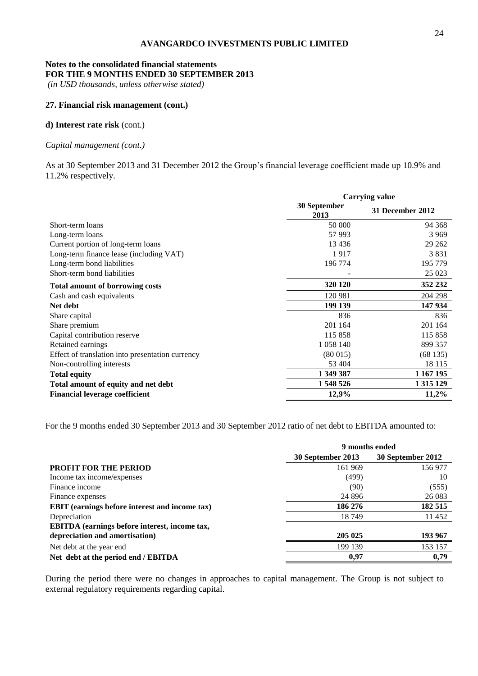## **Notes to the consolidated financial statements FOR THE 9 MONTHS ENDED 30 SEPTEMBER 2013**

*(in USD thousands, unless otherwise stated)*

#### **27. Financial risk management (cont.)**

## **d) Interest rate risk** (cont.)

#### *Capital management (cont.)*

As at 30 September 2013 and 31 December 2012 the Group's financial leverage coefficient made up 10.9% and 11.2% respectively.

|                                                  | <b>Carrying value</b> |                         |
|--------------------------------------------------|-----------------------|-------------------------|
|                                                  | 30 September<br>2013  | <b>31 December 2012</b> |
| Short-term loans                                 | 50 000                | 94 368                  |
| Long-term loans                                  | 57 993                | 3 9 6 9                 |
| Current portion of long-term loans               | 13 4 36               | 29 262                  |
| Long-term finance lease (including VAT)          | 1917                  | 3831                    |
| Long-term bond liabilities                       | 196 774               | 195 779                 |
| Short-term bond liabilities                      |                       | 25 023                  |
| <b>Total amount of borrowing costs</b>           | 320 120               | 352 232                 |
| Cash and cash equivalents                        | 120 981               | 204 298                 |
| Net debt                                         | 199 139               | 147 934                 |
| Share capital                                    | 836                   | 836                     |
| Share premium                                    | 201 164               | 201 164                 |
| Capital contribution reserve                     | 115 858               | 115 858                 |
| Retained earnings                                | 1 0 5 8 1 4 0         | 899 357                 |
| Effect of translation into presentation currency | (80015)               | (68135)                 |
| Non-controlling interests                        | 53 404                | 18 1 15                 |
| <b>Total equity</b>                              | 1 349 387             | 1 167 195               |
| Total amount of equity and net debt              | 1 548 526             | 1 3 1 5 1 2 9           |
| <b>Financial leverage coefficient</b>            | 12,9%                 | 11,2%                   |

For the 9 months ended 30 September 2013 and 30 September 2012 ratio of net debt to EBITDA amounted to:

|                                                       | 9 months ended    |                   |
|-------------------------------------------------------|-------------------|-------------------|
|                                                       | 30 September 2013 | 30 September 2012 |
| <b>PROFIT FOR THE PERIOD</b>                          | 161 969           | 156 977           |
| Income tax income/expenses                            | (499)             | 10                |
| Finance income                                        | (90)              | (555)             |
| Finance expenses                                      | 24 8 9 6          | 26 083            |
| <b>EBIT</b> (earnings before interest and income tax) | 186 276           | 182 515           |
| Depreciation                                          | 18749             | 11 452            |
| EBITDA (earnings before interest, income tax,         |                   |                   |
| depreciation and amortisation)                        | 205 025           | 193 967           |
| Net debt at the year end                              | 199 139           | 153 157           |
| Net debt at the period end / EBITDA                   | 0,97              | 0,79              |

During the period there were no changes in approaches to capital management. The Group is not subject to external regulatory requirements regarding capital.